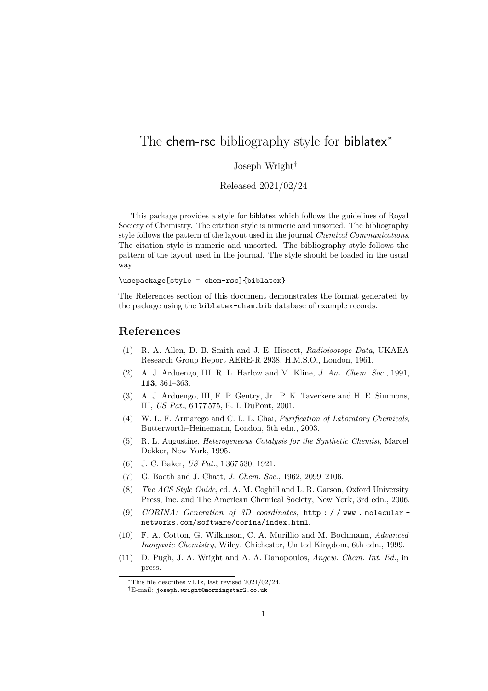## The chem-rsc bibliography style for biblatex<sup>\*</sup>

## Joseph Wright†

Released 2021/02/24

This package provides a style for biblatex which follows the guidelines of Royal Society of Chemistry. The citation style is numeric and unsorted. The bibliography style follows the pattern of the layout used in the journal *Chemical Communications*. The citation style is numeric and unsorted. The bibliography style follows the pattern of the layout used in the journal. The style should be loaded in the usual way

\usepackage[style = chem-rsc]{biblatex}

The References section of this document demonstrates the format generated by the package using the biblatex-chem.bib database of example records.

## **References**

- (1) R. A. Allen, D. B. Smith and J. E. Hiscott, *Radioisotope Data*, UKAEA Research Group Report AERE-R 2938, H.M.S.O., London, 1961.
- (2) A. J. Arduengo, III, R. L. Harlow and M. Kline, *J. Am. Chem. Soc.*, 1991, **113**, 361–363.
- (3) A. J. Arduengo, III, F. P. Gentry, Jr., P. K. Taverkere and H. E. Simmons, III, *US Pat.*, 6 177 575, E. I. DuPont, 2001.
- (4) W. L. F. Armarego and C. L. L. Chai, *Purification of Laboratory Chemicals*, Butterworth–Heinemann, London, 5th edn., 2003.
- (5) R. L. Augustine, *Heterogeneous Catalysis for the Synthetic Chemist*, Marcel Dekker, New York, 1995.
- (6) J. C. Baker, *US Pat.*, 1 367 530, 1921.
- (7) G. Booth and J. Chatt, *J. Chem. Soc.*, 1962, 2099–2106.
- (8) *The ACS Style Guide*, ed. A. M. Coghill and L. R. Garson, Oxford University Press, Inc. and The American Chemical Society, New York, 3rd edn., 2006.
- (9) *CORINA: Generation of 3D coordinates*, [http : / / www . molecular](http://www.molecular-networks.com/software/corina/index.html)  [networks.com/software/corina/index.html](http://www.molecular-networks.com/software/corina/index.html).
- (10) F. A. Cotton, G. Wilkinson, C. A. Murillio and M. Bochmann, *Advanced Inorganic Chemistry*, Wiley, Chichester, United Kingdom, 6th edn., 1999.
- (11) D. Pugh, J. A. Wright and A. A. Danopoulos, *Angew. Chem. Int. Ed.*, in press.

<sup>∗</sup>This file describes v1.1z, last revised 2021/02/24.

<sup>†</sup>E-mail: [joseph.wright@morningstar2.co.uk](mailto:joseph.wright@morningstar2.co.uk)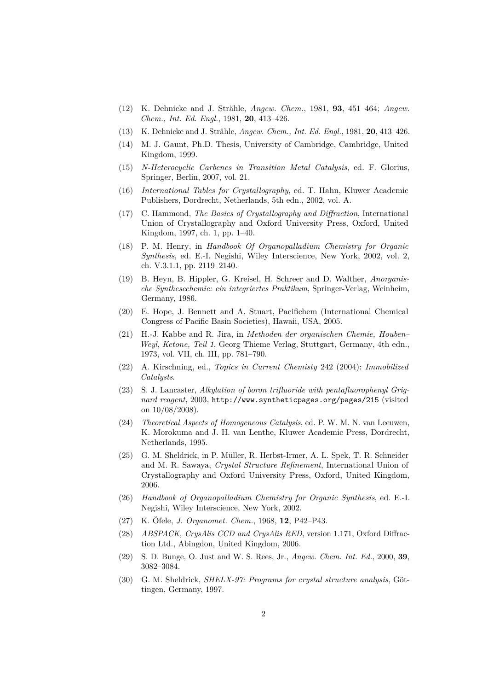- (12) K. Dehnicke and J. Strähle, *Angew. Chem.*, 1981, **93**, 451–464; *Angew. Chem., Int. Ed. Engl.*, 1981, **20**, 413–426.
- (13) K. Dehnicke and J. Strähle, *Angew. Chem., Int. Ed. Engl.*, 1981, **20**, 413–426.
- (14) M. J. Gaunt, Ph.D. Thesis, University of Cambridge, Cambridge, United Kingdom, 1999.
- (15) *N-Heterocyclic Carbenes in Transition Metal Catalysis*, ed. F. Glorius, Springer, Berlin, 2007, vol. 21.
- (16) *International Tables for Crystallography*, ed. T. Hahn, Kluwer Academic Publishers, Dordrecht, Netherlands, 5th edn., 2002, vol. A.
- (17) C. Hammond, *The Basics of Crystallography and Diffraction*, International Union of Crystallography and Oxford University Press, Oxford, United Kingdom, 1997, ch. 1, pp. 1–40.
- (18) P. M. Henry, in *Handbook Of Organopalladium Chemistry for Organic Synthesis*, ed. E.-I. Negishi, Wiley Interscience, New York, 2002, vol. 2, ch. V.3.1.1, pp. 2119–2140.
- (19) B. Heyn, B. Hippler, G. Kreisel, H. Schreer and D. Walther, *Anorganische Synthesechemie: ein integriertes Praktikum*, Springer-Verlag, Weinheim, Germany, 1986.
- (20) E. Hope, J. Bennett and A. Stuart, Pacifichem (International Chemical Congress of Pacific Basin Societies), Hawaii, USA, 2005.
- (21) H.-J. Kabbe and R. Jira, in *Methoden der organischen Chemie, Houben– Weyl*, *Ketone, Teil 1*, Georg Thieme Verlag, Stuttgart, Germany, 4th edn., 1973, vol. VII, ch. III, pp. 781–790.
- (22) A. Kirschning, ed., *Topics in Current Chemisty* 242 (2004): *Immobilized Catalysts*.
- (23) S. J. Lancaster, *Alkylation of boron trifluoride with pentafluorophenyl Grignard reagent*, 2003, <http://www.syntheticpages.org/pages/215> (visited on 10/08/2008).
- (24) *Theoretical Aspects of Homogeneous Catalysis*, ed. P. W. M. N. van Leeuwen, K. Morokuma and J. H. van Lenthe, Kluwer Academic Press, Dordrecht, Netherlands, 1995.
- (25) G. M. Sheldrick, in P. Müller, R. Herbst-Irmer, A. L. Spek, T. R. Schneider and M. R. Sawaya, *Crystal Structure Refinement*, International Union of Crystallography and Oxford University Press, Oxford, United Kingdom, 2006.
- (26) *Handbook of Organopalladium Chemistry for Organic Synthesis*, ed. E.-I. Negishi, Wiley Interscience, New York, 2002.
- (27) K. Öfele, *J. Organomet. Chem.*, 1968, **12**, P42–P43.
- (28) *ABSPACK, CrysAlis CCD and CrysAlis RED*, version 1.171, Oxford Diffraction Ltd., Abingdon, United Kingdom, 2006.
- (29) S. D. Bunge, O. Just and W. S. Rees, Jr., *Angew. Chem. Int. Ed.*, 2000, **39**, 3082–3084.
- (30) G. M. Sheldrick, *SHELX-97: Programs for crystal structure analysis*, Göttingen, Germany, 1997.